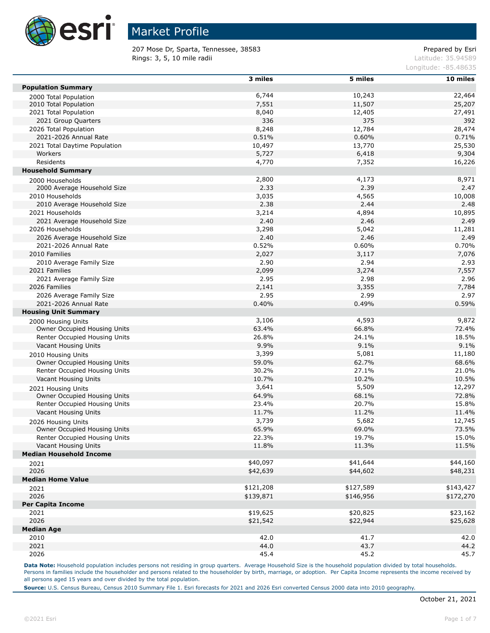

207 Mose Dr, Sparta, Tennessee, 38583 etc. 207 Mose Dr Prepared by Esri Rings: 3, 5, 10 mile radii and the contract of the contract of the contract of the contract of the contract of the contract of the contract of the contract of the contract of the contract of the contract of the contract of

Longitude: -85.48635

|                                     | 3 miles   | 5 miles   | 10 miles  |
|-------------------------------------|-----------|-----------|-----------|
| <b>Population Summary</b>           |           |           |           |
|                                     | 6,744     |           |           |
| 2000 Total Population               |           | 10,243    | 22,464    |
| 2010 Total Population               | 7,551     | 11,507    | 25,207    |
| 2021 Total Population               | 8,040     | 12,405    | 27,491    |
| 2021 Group Quarters                 | 336       | 375       | 392       |
| 2026 Total Population               | 8,248     | 12,784    | 28,474    |
| 2021-2026 Annual Rate               | 0.51%     | 0.60%     | 0.71%     |
| 2021 Total Daytime Population       | 10,497    | 13,770    | 25,530    |
| Workers                             | 5,727     | 6,418     | 9,304     |
| Residents                           | 4,770     | 7,352     | 16,226    |
| <b>Household Summary</b>            |           |           |           |
| 2000 Households                     | 2,800     | 4,173     | 8,971     |
| 2000 Average Household Size         | 2.33      | 2.39      | 2.47      |
| 2010 Households                     | 3,035     | 4,565     | 10,008    |
| 2010 Average Household Size         | 2.38      | 2.44      | 2.48      |
| 2021 Households                     | 3,214     | 4,894     | 10,895    |
|                                     |           |           | 2.49      |
| 2021 Average Household Size         | 2.40      | 2.46      |           |
| 2026 Households                     | 3,298     | 5,042     | 11,281    |
| 2026 Average Household Size         | 2.40      | 2.46      | 2.49      |
| 2021-2026 Annual Rate               | 0.52%     | 0.60%     | 0.70%     |
| 2010 Families                       | 2,027     | 3,117     | 7,076     |
| 2010 Average Family Size            | 2.90      | 2.94      | 2.93      |
| 2021 Families                       | 2,099     | 3,274     | 7,557     |
| 2021 Average Family Size            | 2.95      | 2.98      | 2.96      |
| 2026 Families                       | 2,141     | 3,355     | 7,784     |
| 2026 Average Family Size            | 2.95      | 2.99      | 2.97      |
| 2021-2026 Annual Rate               | 0.40%     | 0.49%     | 0.59%     |
| <b>Housing Unit Summary</b>         |           |           |           |
| 2000 Housing Units                  | 3,106     | 4,593     | 9,872     |
| Owner Occupied Housing Units        | 63.4%     | 66.8%     | 72.4%     |
| Renter Occupied Housing Units       | 26.8%     | 24.1%     | 18.5%     |
| Vacant Housing Units                | 9.9%      | 9.1%      | 9.1%      |
|                                     |           |           |           |
| 2010 Housing Units                  | 3,399     | 5,081     | 11,180    |
| Owner Occupied Housing Units        | 59.0%     | 62.7%     | 68.6%     |
| Renter Occupied Housing Units       | 30.2%     | 27.1%     | 21.0%     |
| Vacant Housing Units                | 10.7%     | 10.2%     | 10.5%     |
| 2021 Housing Units                  | 3,641     | 5,509     | 12,297    |
| Owner Occupied Housing Units        | 64.9%     | 68.1%     | 72.8%     |
| Renter Occupied Housing Units       | 23.4%     | 20.7%     | 15.8%     |
| Vacant Housing Units                | 11.7%     | 11.2%     | 11.4%     |
| 2026 Housing Units                  | 3,739     | 5,682     | 12,745    |
| <b>Owner Occupied Housing Units</b> | 65.9%     | 69.0%     | 73.5%     |
| Renter Occupied Housing Units       | 22.3%     | 19.7%     | 15.0%     |
| Vacant Housing Units                | 11.8%     | 11.3%     | 11.5%     |
| <b>Median Household Income</b>      |           |           |           |
|                                     | \$40,097  | \$41,644  | \$44,160  |
| 2021                                |           |           |           |
| 2026                                | \$42,639  | \$44,602  | \$48,231  |
| <b>Median Home Value</b>            |           |           |           |
| 2021                                | \$121,208 | \$127,589 | \$143,427 |
| 2026                                | \$139,871 | \$146,956 | \$172,270 |
| Per Capita Income                   |           |           |           |
| 2021                                | \$19,625  | \$20,825  | \$23,162  |
| 2026                                | \$21,542  | \$22,944  | \$25,628  |
| <b>Median Age</b>                   |           |           |           |
| 2010                                | 42.0      | 41.7      | 42.0      |
| 2021                                | 44.0      | 43.7      | 44.2      |
| 2026                                | 45.4      | 45.2      | 45.7      |

Data Note: Household population includes persons not residing in group quarters. Average Household Size is the household population divided by total households. Persons in families include the householder and persons related to the householder by birth, marriage, or adoption. Per Capita Income represents the income received by all persons aged 15 years and over divided by the total population.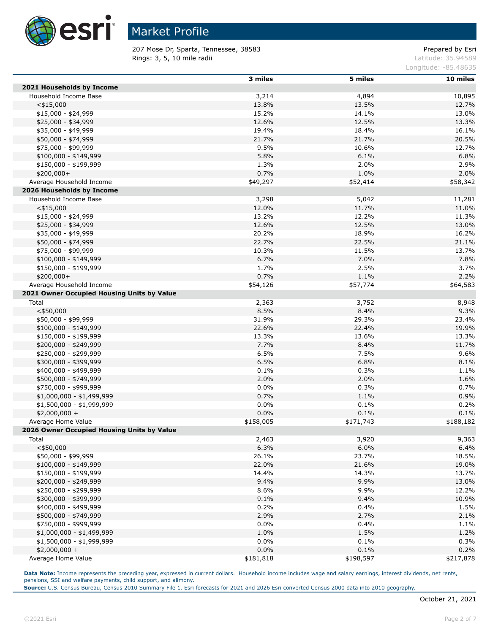

207 Mose Dr, Sparta, Tennessee, 38583 Prepared by Esri Rings: 3, 5, 10 mile radii and the contract of the contract of the contract of the contract of the contract of the contract of the contract of the contract of the contract of the contract of the contract of the contract of

Longitude: -85.48635

|                                            | 3 miles   | 5 miles   | 10 miles  |
|--------------------------------------------|-----------|-----------|-----------|
| 2021 Households by Income                  |           |           |           |
| Household Income Base                      | 3,214     | 4,894     | 10,895    |
| $<$ \$15,000                               | 13.8%     | 13.5%     | 12.7%     |
| $$15,000 - $24,999$                        | 15.2%     | 14.1%     | 13.0%     |
| \$25,000 - \$34,999                        | 12.6%     | 12.5%     | 13.3%     |
| \$35,000 - \$49,999                        | 19.4%     | 18.4%     | 16.1%     |
| \$50,000 - \$74,999                        | 21.7%     | 21.7%     | 20.5%     |
| \$75,000 - \$99,999                        | 9.5%      | 10.6%     | 12.7%     |
| \$100,000 - \$149,999                      | 5.8%      | 6.1%      | 6.8%      |
| \$150,000 - \$199,999                      | 1.3%      | 2.0%      | 2.9%      |
| $$200,000+$                                | 0.7%      | 1.0%      | 2.0%      |
| Average Household Income                   | \$49,297  | \$52,414  | \$58,342  |
| 2026 Households by Income                  |           |           |           |
| Household Income Base                      | 3,298     | 5,042     | 11,281    |
| $<$ \$15,000                               | 12.0%     | 11.7%     | 11.0%     |
| $$15,000 - $24,999$                        | 13.2%     | 12.2%     | 11.3%     |
| \$25,000 - \$34,999                        | 12.6%     | 12.5%     | 13.0%     |
| \$35,000 - \$49,999                        | 20.2%     | 18.9%     | 16.2%     |
| \$50,000 - \$74,999                        | 22.7%     | 22.5%     | 21.1%     |
| \$75,000 - \$99,999                        | 10.3%     | 11.5%     | 13.7%     |
| $$100,000 - $149,999$                      | 6.7%      | 7.0%      | 7.8%      |
| $$150,000 - $199,999$                      | 1.7%      | 2.5%      | 3.7%      |
| $$200,000+$                                | 0.7%      | 1.1%      | 2.2%      |
| Average Household Income                   | \$54,126  | \$57,774  | \$64,583  |
| 2021 Owner Occupied Housing Units by Value |           |           |           |
| Total                                      | 2,363     | 3,752     | 8,948     |
| $<$ \$50,000                               | 8.5%      | 8.4%      | 9.3%      |
| \$50,000 - \$99,999                        | 31.9%     | 29.3%     | 23.4%     |
| $$100,000 - $149,999$                      | 22.6%     | 22.4%     | 19.9%     |
| \$150,000 - \$199,999                      | 13.3%     | 13.6%     | 13.3%     |
| \$200,000 - \$249,999                      | 7.7%      | 8.4%      | 11.7%     |
| \$250,000 - \$299,999                      | 6.5%      | 7.5%      | 9.6%      |
| \$300,000 - \$399,999                      | 6.5%      | 6.8%      | 8.1%      |
| \$400,000 - \$499,999                      | 0.1%      | 0.3%      | 1.1%      |
| \$500,000 - \$749,999                      | 2.0%      | 2.0%      | 1.6%      |
| \$750,000 - \$999,999                      | 0.0%      | 0.3%      | 0.7%      |
| $$1,000,000 - $1,499,999$                  | 0.7%      | 1.1%      | 0.9%      |
| \$1,500,000 - \$1,999,999                  | 0.0%      | 0.1%      | 0.2%      |
| $$2,000,000 +$                             | 0.0%      | 0.1%      | 0.1%      |
| Average Home Value                         | \$158,005 | \$171,743 | \$188,182 |
| 2026 Owner Occupied Housing Units by Value |           |           |           |
| Total                                      | 2,463     | 3,920     | 9,363     |
| $<$ \$50,000                               | 6.3%      | 6.0%      | 6.4%      |
| \$50,000 - \$99,999                        | 26.1%     | 23.7%     | 18.5%     |
| $$100,000 - $149,999$                      | 22.0%     | 21.6%     | 19.0%     |
| \$150,000 - \$199,999                      | 14.4%     | 14.3%     | 13.7%     |
| \$200,000 - \$249,999                      | 9.4%      | 9.9%      | 13.0%     |
| \$250,000 - \$299,999                      | 8.6%      | 9.9%      | 12.2%     |
| \$300,000 - \$399,999                      | 9.1%      | 9.4%      | 10.9%     |
| \$400,000 - \$499,999                      | 0.2%      | 0.4%      | 1.5%      |
| \$500,000 - \$749,999                      | 2.9%      | 2.7%      | 2.1%      |
| \$750,000 - \$999,999                      | 0.0%      | 0.4%      | 1.1%      |
| $$1,000,000 - $1,499,999$                  | 1.0%      | 1.5%      | 1.2%      |
| \$1,500,000 - \$1,999,999                  | 0.0%      | 0.1%      | 0.3%      |
| $$2,000,000 +$                             | 0.0%      | 0.1%      | 0.2%      |
| Average Home Value                         | \$181,818 | \$198,597 | \$217,878 |

**Data Note:** Income represents the preceding year, expressed in current dollars. Household income includes wage and salary earnings, interest dividends, net rents, pensions, SSI and welfare payments, child support, and alimony.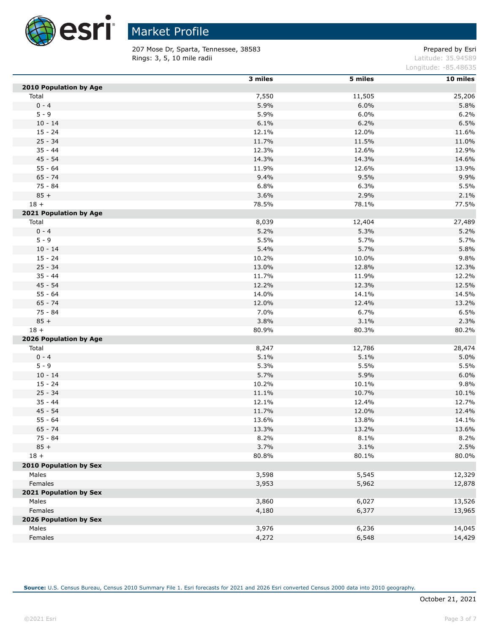

 $\overline{a}$ 

# Market Profile

207 Mose Dr, Sparta, Tennessee, 38583 etc. 207 Mose Dr, Sparta, Tennessee, 28583 Rings: 3, 5, 10 mile radii and the contract of the contract of the contract of the contract of the contract of the contract of the contract of the contract of the contract of the contract of the contract of the contract of

Longitude: -85.48635

|                        | 3 miles | 5 miles | 10 miles |
|------------------------|---------|---------|----------|
| 2010 Population by Age |         |         |          |
| Total                  | 7,550   | 11,505  | 25,206   |
| $0 - 4$                | 5.9%    | 6.0%    | 5.8%     |
| $5 - 9$                | 5.9%    | 6.0%    | 6.2%     |
| $10 - 14$              | 6.1%    | 6.2%    | 6.5%     |
| $15 - 24$              | 12.1%   | 12.0%   | 11.6%    |
| $25 - 34$              | 11.7%   | 11.5%   | 11.0%    |
| $35 - 44$              | 12.3%   | 12.6%   | 12.9%    |
| $45 - 54$              | 14.3%   | 14.3%   | 14.6%    |
| $55 - 64$              | 11.9%   | 12.6%   | 13.9%    |
| $65 - 74$              | 9.4%    | 9.5%    | 9.9%     |
| 75 - 84                | 6.8%    | 6.3%    | 5.5%     |
| $85 +$                 | 3.6%    | 2.9%    | 2.1%     |
| $18 +$                 | 78.5%   | 78.1%   | 77.5%    |
| 2021 Population by Age |         |         |          |
| Total                  | 8,039   | 12,404  | 27,489   |
| $0 - 4$                | 5.2%    | 5.3%    | 5.2%     |
| $5 - 9$                | 5.5%    | 5.7%    | 5.7%     |
| $10 - 14$              | 5.4%    | 5.7%    | 5.8%     |
| $15 - 24$              | 10.2%   | 10.0%   | 9.8%     |
| $25 - 34$              | 13.0%   | 12.8%   | 12.3%    |
| $35 - 44$              | 11.7%   | 11.9%   | 12.2%    |
| $45 - 54$              | 12.2%   | 12.3%   | 12.5%    |
| $55 - 64$              | 14.0%   | 14.1%   | 14.5%    |
| $65 - 74$              | 12.0%   | 12.4%   | 13.2%    |
| 75 - 84                | 7.0%    | 6.7%    | 6.5%     |
| $85 +$                 | 3.8%    | 3.1%    | 2.3%     |
| $18 +$                 | 80.9%   | 80.3%   | 80.2%    |
| 2026 Population by Age |         |         |          |
| Total                  | 8,247   | 12,786  | 28,474   |
| $0 - 4$                | 5.1%    | 5.1%    | 5.0%     |
| $5 - 9$                | 5.3%    | 5.5%    | 5.5%     |
| $10 - 14$              | 5.7%    | 5.9%    | 6.0%     |
| $15 - 24$              | 10.2%   | 10.1%   | 9.8%     |
| $25 - 34$              | 11.1%   | 10.7%   | 10.1%    |
| $35 - 44$              | 12.1%   | 12.4%   | 12.7%    |
| $45 - 54$              | 11.7%   | 12.0%   | 12.4%    |
| $55 - 64$              | 13.6%   | 13.8%   | 14.1%    |
| $65 - 74$              | 13.3%   | 13.2%   | 13.6%    |
| 75 - 84                | 8.2%    | 8.1%    | 8.2%     |
| $85 +$                 | 3.7%    | 3.1%    | 2.5%     |
| $18 +$                 | 80.8%   | 80.1%   | 80.0%    |
| 2010 Population by Sex |         |         |          |
| Males                  | 3,598   | 5,545   | 12,329   |
| Females                | 3,953   | 5,962   | 12,878   |
| 2021 Population by Sex |         |         |          |
| Males                  | 3,860   | 6,027   | 13,526   |
| Females                | 4,180   | 6,377   | 13,965   |
| 2026 Population by Sex |         |         |          |
| Males                  | 3,976   | 6,236   | 14,045   |
| Females                | 4,272   | 6,548   | 14,429   |
|                        |         |         |          |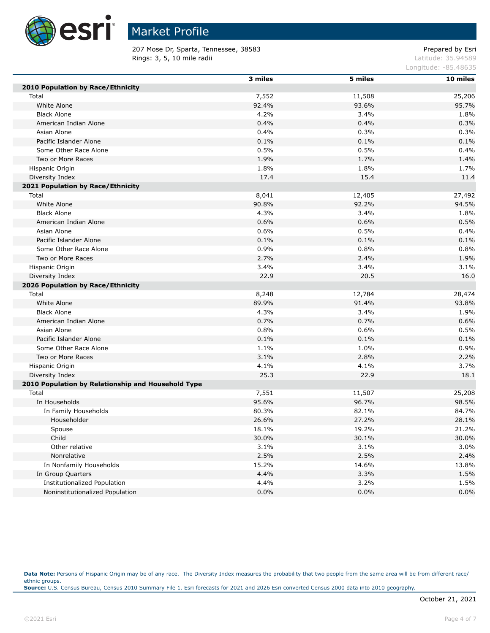

207 Mose Dr, Sparta, Tennessee, 38583 etc. 2022 and 2012 and 2012 and 2012 and 2012 and 2012 and 201 Rings: 3, 5, 10 mile radii and the contract of the contract of the contract of the contract of the contract of the contract of the contract of the contract of the contract of the contract of the contract of the contract of

Longitude: -85.48635

|                                                    | 3 miles | 5 miles | 10 miles |
|----------------------------------------------------|---------|---------|----------|
| 2010 Population by Race/Ethnicity                  |         |         |          |
| Total                                              | 7,552   | 11,508  | 25,206   |
| White Alone                                        | 92.4%   | 93.6%   | 95.7%    |
| <b>Black Alone</b>                                 | 4.2%    | 3.4%    | 1.8%     |
| American Indian Alone                              | 0.4%    | 0.4%    | 0.3%     |
| Asian Alone                                        | 0.4%    | 0.3%    | 0.3%     |
| Pacific Islander Alone                             | 0.1%    | 0.1%    | 0.1%     |
| Some Other Race Alone                              | 0.5%    | 0.5%    | 0.4%     |
| Two or More Races                                  | 1.9%    | 1.7%    | 1.4%     |
| Hispanic Origin                                    | 1.8%    | 1.8%    | 1.7%     |
| Diversity Index                                    | 17.4    | 15.4    | 11.4     |
| 2021 Population by Race/Ethnicity                  |         |         |          |
| Total                                              | 8,041   | 12,405  | 27,492   |
| White Alone                                        | 90.8%   | 92.2%   | 94.5%    |
| <b>Black Alone</b>                                 | 4.3%    | 3.4%    | 1.8%     |
| American Indian Alone                              | 0.6%    | 0.6%    | 0.5%     |
| Asian Alone                                        | 0.6%    | 0.5%    | 0.4%     |
| Pacific Islander Alone                             | 0.1%    | 0.1%    | 0.1%     |
| Some Other Race Alone                              | 0.9%    | 0.8%    | 0.8%     |
| Two or More Races                                  | 2.7%    | 2.4%    | 1.9%     |
| Hispanic Origin                                    | 3.4%    | 3.4%    | 3.1%     |
| Diversity Index                                    | 22.9    | 20.5    | 16.0     |
| 2026 Population by Race/Ethnicity                  |         |         |          |
| Total                                              | 8,248   | 12,784  | 28,474   |
| White Alone                                        | 89.9%   | 91.4%   | 93.8%    |
| <b>Black Alone</b>                                 | 4.3%    | 3.4%    | 1.9%     |
| American Indian Alone                              | 0.7%    | 0.7%    | 0.6%     |
| Asian Alone                                        | 0.8%    | 0.6%    | 0.5%     |
| Pacific Islander Alone                             | 0.1%    | 0.1%    | 0.1%     |
| Some Other Race Alone                              | 1.1%    | 1.0%    | 0.9%     |
| Two or More Races                                  | 3.1%    | 2.8%    | 2.2%     |
| Hispanic Origin                                    | 4.1%    | 4.1%    | 3.7%     |
| Diversity Index                                    | 25.3    | 22.9    | 18.1     |
| 2010 Population by Relationship and Household Type |         |         |          |
| Total                                              | 7,551   | 11,507  | 25,208   |
| In Households                                      | 95.6%   | 96.7%   | 98.5%    |
| In Family Households                               | 80.3%   | 82.1%   | 84.7%    |
| Householder                                        | 26.6%   | 27.2%   | 28.1%    |
| Spouse                                             | 18.1%   | 19.2%   | 21.2%    |
| Child                                              | 30.0%   | 30.1%   | 30.0%    |
| Other relative                                     | 3.1%    | 3.1%    | 3.0%     |
| Nonrelative                                        | 2.5%    | 2.5%    | 2.4%     |
| In Nonfamily Households                            | 15.2%   | 14.6%   | 13.8%    |
| In Group Quarters                                  | 4.4%    | 3.3%    | 1.5%     |
| Institutionalized Population                       | 4.4%    | 3.2%    | 1.5%     |
| Noninstitutionalized Population                    | 0.0%    | 0.0%    | 0.0%     |

Data Note: Persons of Hispanic Origin may be of any race. The Diversity Index measures the probability that two people from the same area will be from different race/ ethnic groups. **Source:** U.S. Census Bureau, Census 2010 Summary File 1. Esri forecasts for 2021 and 2026 Esri converted Census 2000 data into 2010 geography.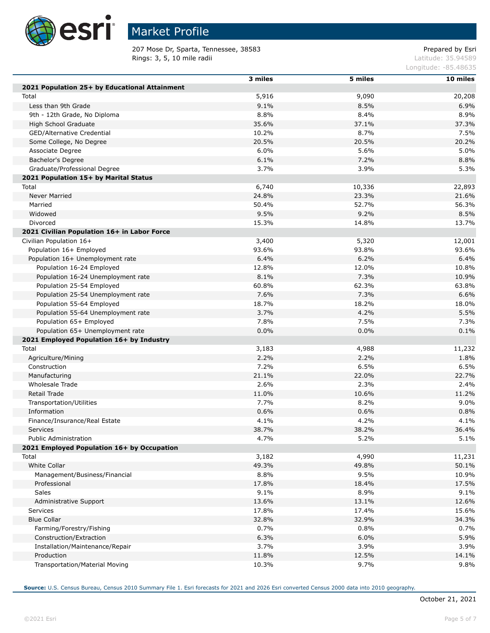

П

П

П

# Market Profile

207 Mose Dr, Sparta, Tennessee, 38583 etc. 207 Mose Dr, Sparta, Tennessee, 28583 Rings: 3, 5, 10 mile radii and the contract of the contract of the contract of the contract of the contract of the contract of the contract of the contract of the contract of the contract of the contract of the contract of

Longitude: -85.48635

|                                               | 3 miles | 5 miles         | 10 miles |
|-----------------------------------------------|---------|-----------------|----------|
| 2021 Population 25+ by Educational Attainment |         |                 |          |
| Total                                         | 5,916   | 9,090           | 20,208   |
| Less than 9th Grade                           | 9.1%    | 8.5%            | 6.9%     |
| 9th - 12th Grade, No Diploma                  | 8.8%    | 8.4%            | 8.9%     |
| High School Graduate                          | 35.6%   | 37.1%           | 37.3%    |
| GED/Alternative Credential                    | 10.2%   | 8.7%            | 7.5%     |
| Some College, No Degree                       | 20.5%   | 20.5%           | 20.2%    |
| Associate Degree                              | 6.0%    | 5.6%            | 5.0%     |
| Bachelor's Degree                             | 6.1%    | 7.2%            | 8.8%     |
| Graduate/Professional Degree                  | 3.7%    | 3.9%            | 5.3%     |
|                                               |         |                 |          |
| 2021 Population 15+ by Marital Status         |         |                 |          |
| Total                                         | 6,740   | 10,336<br>23.3% | 22,893   |
| <b>Never Married</b>                          | 24.8%   |                 | 21.6%    |
| Married                                       | 50.4%   | 52.7%           | 56.3%    |
| Widowed                                       | 9.5%    | 9.2%            | 8.5%     |
| Divorced                                      | 15.3%   | 14.8%           | 13.7%    |
| 2021 Civilian Population 16+ in Labor Force   |         |                 |          |
| Civilian Population 16+                       | 3,400   | 5,320           | 12,001   |
| Population 16+ Employed                       | 93.6%   | 93.8%           | 93.6%    |
| Population 16+ Unemployment rate              | 6.4%    | 6.2%            | 6.4%     |
| Population 16-24 Employed                     | 12.8%   | 12.0%           | 10.8%    |
| Population 16-24 Unemployment rate            | 8.1%    | 7.3%            | 10.9%    |
| Population 25-54 Employed                     | 60.8%   | 62.3%           | 63.8%    |
| Population 25-54 Unemployment rate            | 7.6%    | 7.3%            | 6.6%     |
| Population 55-64 Employed                     | 18.7%   | 18.2%           | 18.0%    |
| Population 55-64 Unemployment rate            | 3.7%    | 4.2%            | 5.5%     |
| Population 65+ Employed                       | 7.8%    | 7.5%            | 7.3%     |
| Population 65+ Unemployment rate              | 0.0%    | 0.0%            | 0.1%     |
| 2021 Employed Population 16+ by Industry      |         |                 |          |
| Total                                         | 3,183   | 4,988           | 11,232   |
| Agriculture/Mining                            | 2.2%    | 2.2%            | 1.8%     |
| Construction                                  | 7.2%    | 6.5%            | 6.5%     |
| Manufacturing                                 | 21.1%   | 22.0%           | 22.7%    |
| <b>Wholesale Trade</b>                        | 2.6%    | 2.3%            | 2.4%     |
| Retail Trade                                  | 11.0%   | 10.6%           | 11.2%    |
| Transportation/Utilities                      | 7.7%    | 8.2%            | 9.0%     |
| Information                                   | 0.6%    | 0.6%            | 0.8%     |
| Finance/Insurance/Real Estate                 | 4.1%    | 4.2%            | 4.1%     |
| Services                                      | 38.7%   | 38.2%           | 36.4%    |
| <b>Public Administration</b>                  | 4.7%    | 5.2%            | 5.1%     |
| 2021 Employed Population 16+ by Occupation    |         |                 |          |
| Total                                         | 3,182   | 4,990           | 11,231   |
| White Collar                                  | 49.3%   | 49.8%           | 50.1%    |
| Management/Business/Financial                 | 8.8%    | 9.5%            | 10.9%    |
| Professional                                  | 17.8%   | 18.4%           | 17.5%    |
| Sales                                         | 9.1%    | 8.9%            | 9.1%     |
| Administrative Support                        | 13.6%   | 13.1%           | 12.6%    |
| Services                                      | 17.8%   | 17.4%           | 15.6%    |
|                                               |         |                 |          |
| <b>Blue Collar</b>                            | 32.8%   | 32.9%           | 34.3%    |
| Farming/Forestry/Fishing                      | 0.7%    | 0.8%            | 0.7%     |
| Construction/Extraction                       | 6.3%    | 6.0%            | 5.9%     |
| Installation/Maintenance/Repair               | 3.7%    | 3.9%            | 3.9%     |
| Production                                    | 11.8%   | 12.5%           | 14.1%    |
| Transportation/Material Moving                | 10.3%   | 9.7%            | 9.8%     |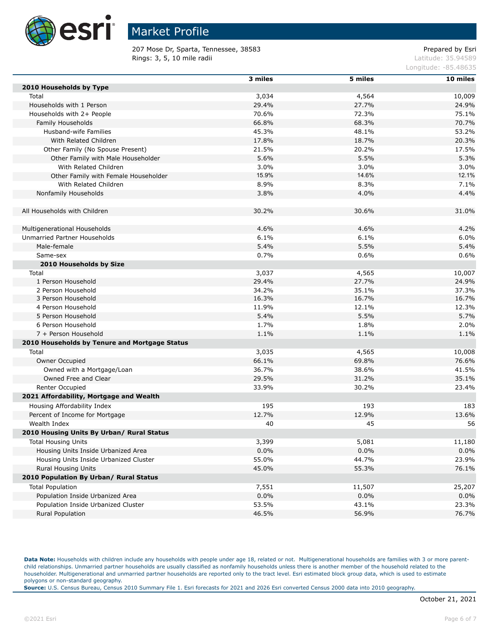

207 Mose Dr, Sparta, Tennessee, 38583 etc. 207 Mose Dr Prepared by Esri Rings: 3, 5, 10 mile radii and the contract of the contract of the contract of the contract of the contract of the contract of the contract of the contract of the contract of the contract of the contract of the contract of

Longitude: -85.48635

|                                               | 3 miles | 5 miles | 10 miles |
|-----------------------------------------------|---------|---------|----------|
| 2010 Households by Type                       |         |         |          |
| Total                                         | 3,034   | 4,564   | 10,009   |
| Households with 1 Person                      | 29.4%   | 27.7%   | 24.9%    |
| Households with 2+ People                     | 70.6%   | 72.3%   | 75.1%    |
| Family Households                             | 66.8%   | 68.3%   | 70.7%    |
| Husband-wife Families                         | 45.3%   | 48.1%   | 53.2%    |
| With Related Children                         | 17.8%   | 18.7%   | 20.3%    |
| Other Family (No Spouse Present)              | 21.5%   | 20.2%   | 17.5%    |
| Other Family with Male Householder            | 5.6%    | 5.5%    | 5.3%     |
| With Related Children                         | 3.0%    | 3.0%    | 3.0%     |
| Other Family with Female Householder          | 15.9%   | 14.6%   | 12.1%    |
| With Related Children                         | 8.9%    | 8.3%    | 7.1%     |
| Nonfamily Households                          | 3.8%    | 4.0%    | 4.4%     |
|                                               |         |         |          |
| All Households with Children                  | 30.2%   | 30.6%   | 31.0%    |
|                                               |         |         |          |
| Multigenerational Households                  | 4.6%    | 4.6%    | 4.2%     |
| Unmarried Partner Households                  | 6.1%    | 6.1%    | 6.0%     |
| Male-female                                   | 5.4%    | 5.5%    | 5.4%     |
| Same-sex                                      | 0.7%    | 0.6%    | 0.6%     |
| 2010 Households by Size                       |         |         |          |
| Total                                         | 3,037   | 4,565   | 10,007   |
| 1 Person Household                            | 29.4%   | 27.7%   | 24.9%    |
| 2 Person Household                            | 34.2%   | 35.1%   | 37.3%    |
| 3 Person Household                            | 16.3%   | 16.7%   | 16.7%    |
| 4 Person Household                            | 11.9%   | 12.1%   | 12.3%    |
| 5 Person Household                            | 5.4%    | 5.5%    | 5.7%     |
| 6 Person Household                            | 1.7%    | 1.8%    | 2.0%     |
| 7 + Person Household                          | 1.1%    | 1.1%    | 1.1%     |
| 2010 Households by Tenure and Mortgage Status |         |         |          |
| Total                                         | 3,035   | 4,565   | 10,008   |
| Owner Occupied                                | 66.1%   | 69.8%   | 76.6%    |
| Owned with a Mortgage/Loan                    | 36.7%   | 38.6%   | 41.5%    |
| Owned Free and Clear                          | 29.5%   | 31.2%   | 35.1%    |
| Renter Occupied                               | 33.9%   | 30.2%   | 23.4%    |
| 2021 Affordability, Mortgage and Wealth       |         |         |          |
| Housing Affordability Index                   | 195     | 193     | 183      |
| Percent of Income for Mortgage                | 12.7%   | 12.9%   | 13.6%    |
| Wealth Index                                  | 40      | 45      | 56       |
| 2010 Housing Units By Urban/ Rural Status     |         |         |          |
| <b>Total Housing Units</b>                    | 3,399   | 5,081   | 11,180   |
| Housing Units Inside Urbanized Area           | 0.0%    | 0.0%    | 0.0%     |
| Housing Units Inside Urbanized Cluster        | 55.0%   | 44.7%   | 23.9%    |
| <b>Rural Housing Units</b>                    | 45.0%   | 55.3%   | 76.1%    |
| 2010 Population By Urban/ Rural Status        |         |         |          |
| <b>Total Population</b>                       | 7,551   | 11,507  | 25,207   |
| Population Inside Urbanized Area              | 0.0%    | 0.0%    | 0.0%     |
| Population Inside Urbanized Cluster           | 53.5%   | 43.1%   | 23.3%    |
| Rural Population                              | 46.5%   | 56.9%   | 76.7%    |

Data Note: Households with children include any households with people under age 18, related or not. Multigenerational households are families with 3 or more parentchild relationships. Unmarried partner households are usually classified as nonfamily households unless there is another member of the household related to the householder. Multigenerational and unmarried partner households are reported only to the tract level. Esri estimated block group data, which is used to estimate polygons or non-standard geography.